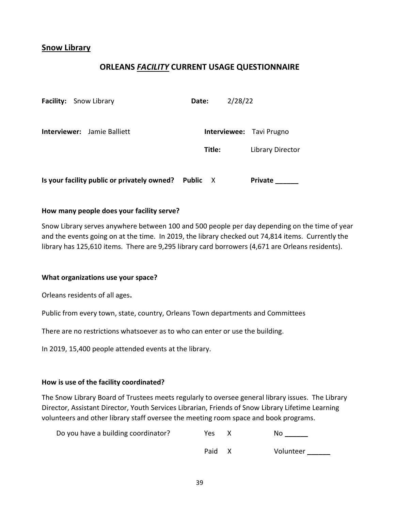# Snow Library

# ORLEANS FACILITY CURRENT USAGE QUESTIONNAIRE

| <b>Facility:</b> Snow Library               | 2/28/22<br>Date:                |                  |
|---------------------------------------------|---------------------------------|------------------|
| <b>Interviewer:</b> Jamie Balliett          | <b>Interviewee: Tavi Prugno</b> |                  |
|                                             | Title:                          | Library Director |
| Is your facility public or privately owned? | <b>Public</b><br>X              | Private          |

### How many people does your facility serve?

Snow Library serves anywhere between 100 and 500 people per day depending on the time of year and the events going on at the time. In 2019, the library checked out 74,814 items. Currently the library has 125,610 items. There are 9,295 library card borrowers (4,671 are Orleans residents).

#### What organizations use your space?

Orleans residents of all ages.

Public from every town, state, country, Orleans Town departments and Committees

There are no restrictions whatsoever as to who can enter or use the building.

In 2019, 15,400 people attended events at the library.

#### How is use of the facility coordinated?

The Snow Library Board of Trustees meets regularly to oversee general library issues. The Library Director, Assistant Director, Youth Services Librarian, Friends of Snow Library Lifetime Learning volunteers and other library staff oversee the meeting room space and book programs.

| Do you have a building coordinator? | Yes. | NΩ |
|-------------------------------------|------|----|
|                                     |      |    |

| Paid<br>Volunteer |  |
|-------------------|--|
|-------------------|--|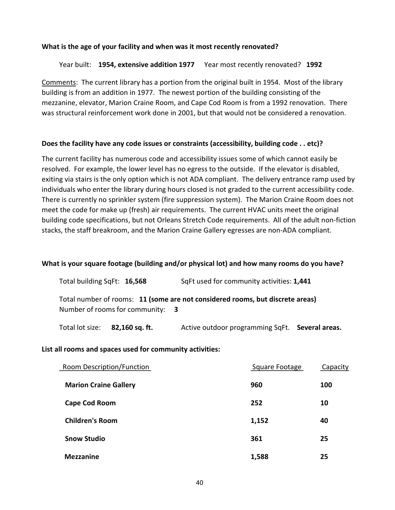### What is the age of your facility and when was it most recently renovated?

### Year built: 1954, extensive addition 1977 Year most recently renovated? 1992

Comments: The current library has a portion from the original built in 1954. Most of the library building is from an addition in 1977. The newest portion of the building consisting of the mezzanine, elevator, Marion Craine Room, and Cape Cod Room is from a 1992 renovation. There was structural reinforcement work done in 2001, but that would not be considered a renovation.

## Does the facility have any code issues or constraints (accessibility, building code . . etc)?

The current facility has numerous code and accessibility issues some of which cannot easily be resolved. For example, the lower level has no egress to the outside. If the elevator is disabled, exiting via stairs is the only option which is not ADA compliant. The delivery entrance ramp used by individuals who enter the library during hours closed is not graded to the current accessibility code. There is currently no sprinkler system (fire suppression system). The Marion Craine Room does not meet the code for make up (fresh) air requirements. The current HVAC units meet the original building code specifications, but not Orleans Stretch Code requirements. All of the adult non-fiction stacks, the staff breakroom, and the Marion Craine Gallery egresses are non-ADA compliant.

#### What is your square footage (building and/or physical lot) and how many rooms do you have?

| Total building SqFt: 16,568      | SqFt used for community activities: 1,441                                     |
|----------------------------------|-------------------------------------------------------------------------------|
| Number of rooms for community: 3 | Total number of rooms: 11 (some are not considered rooms, but discrete areas) |

Total lot size: 82,160 sq. ft. Active outdoor programming SqFt. Several areas.

#### List all rooms and spaces used for community activities:

| <b>Room Description/Function</b> | Square Footage | Capacity |  |
|----------------------------------|----------------|----------|--|
| <b>Marion Craine Gallery</b>     | 960            | 100      |  |
| <b>Cape Cod Room</b>             | 252            | 10       |  |
| <b>Children's Room</b>           | 1,152          | 40       |  |
| <b>Snow Studio</b>               | 361            | 25       |  |
| <b>Mezzanine</b>                 | 1,588          | 25       |  |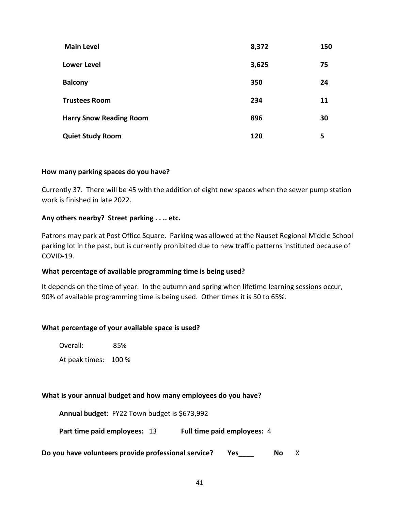| <b>Main Level</b>              | 8,372 | 150 |
|--------------------------------|-------|-----|
| <b>Lower Level</b>             | 3,625 | 75  |
| <b>Balcony</b>                 | 350   | 24  |
| <b>Trustees Room</b>           | 234   | 11  |
| <b>Harry Snow Reading Room</b> | 896   | 30  |
| <b>Quiet Study Room</b>        | 120   | 5   |

# How many parking spaces do you have?

Currently 37. There will be 45 with the addition of eight new spaces when the sewer pump station work is finished in late 2022.

# Any others nearby? Street parking . . .. etc.

Patrons may park at Post Office Square. Parking was allowed at the Nauset Regional Middle School parking lot in the past, but is currently prohibited due to new traffic patterns instituted because of COVID-19.

## What percentage of available programming time is being used?

It depends on the time of year. In the autumn and spring when lifetime learning sessions occur, 90% of available programming time is being used. Other times it is 50 to 65%.

## What percentage of your available space is used?

Overall: 85%

At peak times: 100 %

## What is your annual budget and how many employees do you have?

Annual budget: FY22 Town budget is \$673,992

Part time paid employees: 13 Full time paid employees: 4

Do you have volunteers provide professional service? Yes\_\_\_\_\_\_\_\_ No X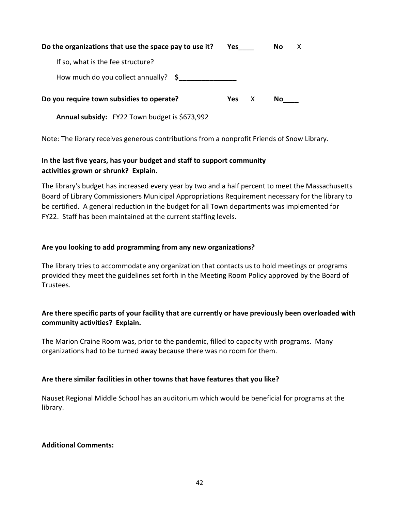| Do the organizations that use the space pay to use it? |     |   | No. |  |
|--------------------------------------------------------|-----|---|-----|--|
| If so, what is the fee structure?                      |     |   |     |  |
| How much do you collect annually? $\oint$              |     |   |     |  |
| Do you require town subsidies to operate?              | Yes | X | No. |  |
| <b>Annual subsidy:</b> FY22 Town budget is \$673,992   |     |   |     |  |

Note: The library receives generous contributions from a nonprofit Friends of Snow Library.

# In the last five years, has your budget and staff to support community activities grown or shrunk? Explain.

The library's budget has increased every year by two and a half percent to meet the Massachusetts Board of Library Commissioners Municipal Appropriations Requirement necessary for the library to be certified. A general reduction in the budget for all Town departments was implemented for FY22. Staff has been maintained at the current staffing levels.

# Are you looking to add programming from any new organizations?

The library tries to accommodate any organization that contacts us to hold meetings or programs provided they meet the guidelines set forth in the Meeting Room Policy approved by the Board of Trustees.

# Are there specific parts of your facility that are currently or have previously been overloaded with community activities? Explain.

The Marion Craine Room was, prior to the pandemic, filled to capacity with programs. Many organizations had to be turned away because there was no room for them.

# Are there similar facilities in other towns that have features that you like?

Nauset Regional Middle School has an auditorium which would be beneficial for programs at the library.

## Additional Comments: